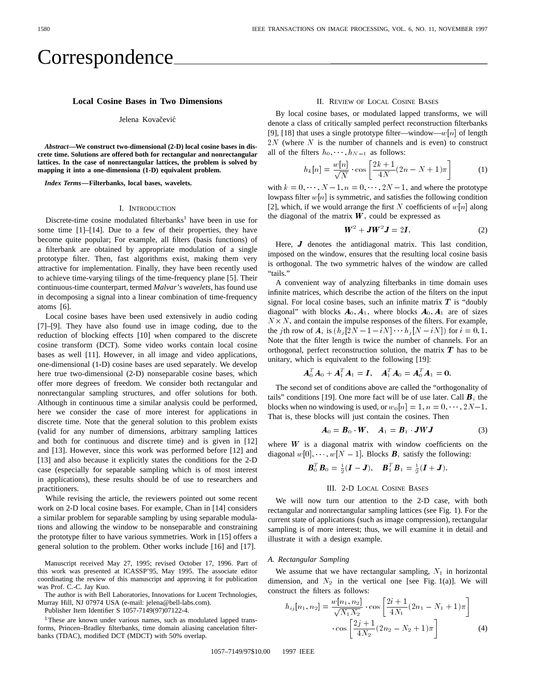# Correspondence

# **Local Cosine Bases in Two Dimensions**

#### Jelena Kovačević

*Abstract—***We construct two-dimensional (2-D) local cosine bases in discrete time. Solutions are offered both for rectangular and nonrectangular lattices. In the case of nonrectangular lattices, the problem is solved by mapping it into a one-dimensiona (1-D) equivalent problem.**

*Index Terms—***Filterbanks, local bases, wavelets.**

#### I. INTRODUCTION

Discrete-time cosine modulated filterbanks<sup>1</sup> have been in use for some time [1]–[14]. Due to a few of their properties, they have become quite popular; For example, all filters (basis functions) of a filterbank are obtained by appropriate modulation of a single prototype filter. Then, fast algorithms exist, making them very attractive for implementation. Finally, they have been recently used to achieve time-varying tilings of the time-frequency plane [5]. Their continuous-time counterpart, termed *Malvar's wavelets*, has found use in decomposing a signal into a linear combination of time-frequency atoms [6].

Local cosine bases have been used extensively in audio coding [7]–[9]. They have also found use in image coding, due to the reduction of blocking effects [10] when compared to the discrete cosine transform (DCT). Some video works contain local cosine bases as well [11]. However, in all image and video applications, one-dimensional (1-D) cosine bases are used separately. We develop here true two-dimensional (2-D) nonseparable cosine bases, which offer more degrees of freedom. We consider both rectangular and nonrectangular sampling structures, and offer solutions for both. Although in continuous time a similar analysis could be performed, here we consider the case of more interest for applications in discrete time. Note that the general solution to this problem exists (valid for any number of dimensions, arbitrary sampling lattices and both for continuous and discrete time) and is given in [12] and [13]. However, since this work was performed before [12] and [13] and also because it explicitly states the conditions for the 2-D case (especially for separable sampling which is of most interest in applications), these results should be of use to researchers and practitioners.

While revising the article, the reviewers pointed out some recent work on 2-D local cosine bases. For example, Chan in [14] considers a similar problem for separable sampling by using separable modulations and allowing the window to be nonseparable and constraining the prototype filter to have various symmetries. Work in [15] offers a general solution to the problem. Other works include [16] and [17].

Manuscript received May 27, 1995; revised October 17, 1996. Part of this work was presented at ICASSP'95, May 1995. The associate editor coordinating the review of this manuscript and approving it for publication was Prof. C.-C. Jay Kuo.

The author is with Bell Laboratories, Innovations for Lucent Technologies, Murray Hill, NJ 07974 USA (e-mail: jelena@bell-labs.com).

Publisher Item Identifier S 1057-7149(97)07122-4.

<sup>1</sup>These are known under various names, such as modulated lapped transforms, Princen–Bradley filterbanks, time domain aliasing cancelation filterbanks (TDAC), modified DCT (MDCT) with 50% overlap.

#### II. REVIEW OF LOCAL COSINE BASES

By local cosine bases, or modulated lapped transforms, we will denote a class of critically sampled perfect reconstruction filterbanks [9], [18] that uses a single prototype filter—window—w[n] of length  $2N$  (where N is the number of channels and is even) to construct [9], [18] that uses a single prototype filter—<br>2N (where N is the number of channels all of the filters  $h_0, \dots, h_{N-1}$  as follows:

$$
h_k[n] = \frac{w[n]}{\sqrt{N}} \cdot \cos\left[\frac{2k+1}{4N}(2n - N + 1)\pi\right]
$$
 (1)

with  $k = 0, \dots, N - 1, n = 0, \dots, 2N - 1$ , and where the prototype lowpass filter  $w[n]$  is symmetric, and satisfies the following condition [2], which, if we would arrange the first N coefficients of  $w[n]$  along the diagonal of the matrix  $W$ , could be expressed as

$$
\boldsymbol{W}^2 + \boldsymbol{J}\boldsymbol{W}^2\boldsymbol{J} = 2\boldsymbol{I}.\tag{2}
$$

Here,  $J$  denotes the antidiagonal matrix. This last condition, imposed on the window, ensures that the resulting local cosine basis is orthogonal. The two symmetric halves of the window are called "tails."

A convenient way of analyzing filterbanks in time domain uses infinite matrices, which describe the action of the filters on the input signal. For local cosine bases, such an infinite matrix  $T$  is "doubly diagonal" with blocks  $A_0$ ,  $A_1$ , where blocks  $A_0$ ,  $A_1$  are of sizes  $N \times N$ , and contain the impulse responses of the filters. For example, the *j* th row of  $A_i$  is  $(h_j [2N - 1 - iN] \cdots h_j [N - iN])$  for  $i = 0, 1$ . Note that the filter length is twice the number of channels. For an orthogonal, perfect reconstruction solution, the matrix  $T$  has to be unitary, which is equivalent to the following [19]:

$$
\boldsymbol{A}_0^T \boldsymbol{A}_0 + \boldsymbol{A}_1^T \boldsymbol{A}_1 = \boldsymbol{I}, \quad \boldsymbol{A}_1^T \boldsymbol{A}_0 = \boldsymbol{A}_0^T \boldsymbol{A}_1 = \boldsymbol{0}.
$$

The second set of conditions above are called the "orthogonality of tails" conditions [19]. One more fact will be of use later. Call  $B_i$  the blocks when no windowing is used, or  $w_0[n]=1, n = 0, \dots, 2N-1$ . That is, these blocks will just contain the cosines. Then

$$
A_0 = B_0 \cdot W, \quad A_1 = B_1 \cdot JWJ \tag{3}
$$

where  $W$  is a diagonal matrix with window coefficients on the diagonal  $w[0], \dots, w[N-1]$ . Blocks  $\mathbf{B}_i$  satisfy the following:

$$
\boldsymbol{B}_0^T \boldsymbol{B}_0 = \frac{1}{2}(\boldsymbol{I} - \boldsymbol{J}), \quad \boldsymbol{B}_1^T \boldsymbol{B}_1 = \frac{1}{2}(\boldsymbol{I} + \boldsymbol{J}).
$$

#### III. 2-D LOCAL COSINE BASES

We will now turn our attention to the 2-D case, with both rectangular and nonrectangular sampling lattices (see Fig. 1). For the current state of applications (such as image compression), rectangular sampling is of more interest; thus, we will examine it in detail and illustrate it with a design example.

# *A. Rectangular Sampling*

We assume that we have rectangular sampling,  $N_1$  in horizontal dimension, and  $N_2$  in the vertical one [see Fig. 1(a)]. We will construct the filters as follows:

$$
h_{ij}[n_1, n_2] = \frac{w[n_1, n_2]}{\sqrt{N_1 N_2}} \cdot \cos\left[\frac{2i+1}{4N_1}(2n_1 - N_1 + 1)\pi\right] \cdot \cos\left[\frac{2j+1}{4N_2}(2n_2 - N_2 + 1)\pi\right]
$$
(4)

1057–7149/97\$10.00 1997 IEEE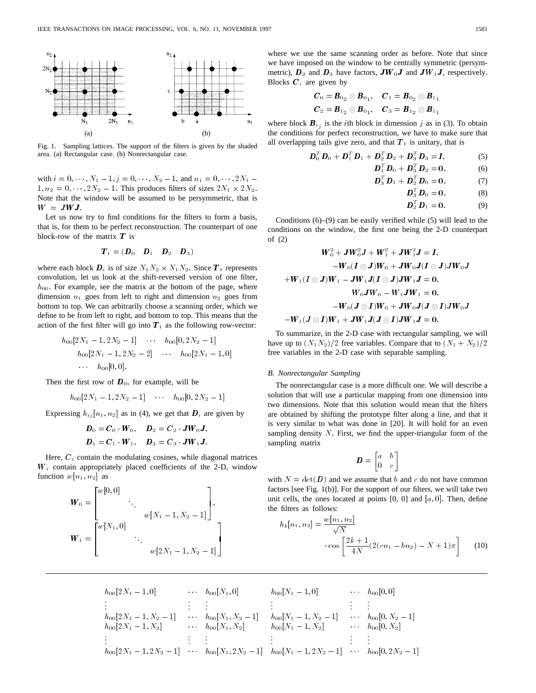

Fig. 1. Sampling lattices. The support of the filters is given by the shaded area. (a) Rectangular case. (b) Nonrectangular case.

with  $i = 0, \dots, N_1 - 1, j = 0, \dots, N_2 - 1$ , and  $n_1 = 0, \dots, 2N_1 1, n_2 = 0, \dots, 2N_2 - 1$ . This produces filters of sizes  $2N_1 \times 2N_2$ .<br>Note that the window will be assumed to be persymmetric, that is Note that the window will be assumed to be persymmetric, that is  $W = JWJ.$ 

Let us now try to find conditions for the filters to form a basis, that is, for them to be perfect reconstruction. The counterpart of one block-row of the matrix  $T$  is

$$
\boldsymbol{T}_1 = (\boldsymbol{D}_0 \quad \boldsymbol{D}_1 \quad \boldsymbol{D}_2 \quad \boldsymbol{D}_3)
$$

where each block  $\mathbf{D}_i$  is of size  $N_1N_2 \times N_1N_2$ . Since  $\mathbf{T}_1$  represents<br>convolution let us look at the shift reversed version of one filter convolution, let us look at the shift-reversed version of one filter,  $h_{00}$ . For example, see the matrix at the bottom of the page, where dimension  $n_1$  goes from left to right and dimension  $n_2$  goes from bottom to top. We can arbitrarily choose a scanning order, which we define to be from left to right, and bottom to top. This means that the action of the first filter will go into  $T_1$  as the following row-vector:

$$
h_{00}[2N_1 - 1, 2N_2 - 1] \cdots h_{00}[0, 2N_2 - 1]
$$
  
\n
$$
h_{00}[2N_1 - 1, 2N_2 - 2] \cdots h_{00}[2N_1 - 1, 0]
$$
  
\n
$$
\cdots h_{00}[0, 0].
$$

Then the first row of  $D_0$ , for example, will be

 $h_{00}[2N_1 - 1, 2N_2 - 1]$   $\cdots$   $h_{00}[0, 2N_2 - 1]$ 

Expressing  $h_{ij}[n_1, n_2]$  as in (4), we get that  $\boldsymbol{D}_i$  are given by

$$
D_0 = C_0 \cdot W_0
$$
,  $D_2 = C_2 \cdot JW_0J$ ,  
\n $D_1 = C_1 \cdot W_1$ ,  $D_3 = C_3 \cdot JW_1J$ .

Here,  $C_i$  contain the modulating cosines, while diagonal matrices  $W_i$  contain appropriately placed coefficients of the 2-D, window function  $w[n_1, n_2]$  as

$$
\mathbf{W}_0 = \begin{bmatrix} w[0,0] & & & \\ & \ddots & & \\ & & w[N_1-1,N_2-1] \end{bmatrix}, \\ \mathbf{W}_1 = \begin{bmatrix} w[N_1,0] & & \\ & \ddots & \\ & & w[2N_1-1,N_2-1] \end{bmatrix}
$$

where we use the same scanning order as before. Note that since we have imposed on the window to be centrally symmetric (persymmetric),  $D_2$  and  $D_3$  have factors,  $JW_0J$  and  $JW_1J$ , respectively. Blocks  $C_i$  are given by

$$
C_0 = B_{0_2} \otimes B_{0_1}, \quad C_1 = B_{0_2} \otimes B_{1_1}
$$
  

$$
C_2 = B_{1_2} \otimes B_{0_1}, \quad C_3 = B_{1_2} \otimes B_{1_1}
$$

where block  $B_{i_j}$  is the *i*th block in dimension *j* as in (3). To obtain the conditions for perfect reconstruction, we have to make sure that all overlapping tails give zero, and that  $T_1$  is unitary, that is

$$
\boldsymbol{D}_0^T \boldsymbol{D}_0 + \boldsymbol{D}_1^T \boldsymbol{D}_1 + \boldsymbol{D}_2^T \boldsymbol{D}_2 + \boldsymbol{D}_3^T \boldsymbol{D}_3 = \boldsymbol{I}, \tag{5}
$$

$$
\boldsymbol{D}_1^T \boldsymbol{D}_0 + \boldsymbol{D}_3^T \boldsymbol{D}_2 = \mathbf{0},\tag{6}
$$

$$
\boldsymbol{D}_3^T \boldsymbol{D}_1 + \boldsymbol{D}_2^T \boldsymbol{D}_0 = \mathbf{0}, \tag{7}
$$

$$
\boldsymbol{D}_3^T \boldsymbol{D}_0 = \mathbf{0}, \tag{8}
$$

$$
\boldsymbol{D}_2^T \boldsymbol{D}_1 = \mathbf{0}.\tag{9}
$$

Conditions (6)–(9) can be easily verified while (5) will lead to the conditions on the window, the first one being the 2-D counterpart of (2)

$$
W_0^2 + JW_0^2J + W_1^2 + JW_1^2J = I,
$$
  
\n
$$
-W_0(I \otimes J)W_0 + JW_0J(I \otimes J)JW_0J
$$
  
\n
$$
+W_1(I \otimes J)W_1 - JW_1J(I \otimes J)JW_1J = 0,
$$
  
\n
$$
W_0JW_0 - W_1JW_1 = 0,
$$
  
\n
$$
-W_0(J \otimes I)W_0 + JW_0J(J \otimes I)JW_0J
$$
  
\n
$$
-W_1(J \otimes I)W_1 + JW_1J(J \otimes I)JW_1J = 0.
$$

To summarize, in the 2-D case with rectangular sampling, we will have up to  $(N_1N_2)/2$  free variables. Compare that to  $(N_1 + N_2)/2$ free variables in the 2-D case with separable sampling.

# *B. Nonrectangular Sampling*

The nonrectangular case is a more difficult one. We will describe a solution that will use a particular mapping from one dimension into two dimensions. Note that this solution would mean that the filters are obtained by shifting the prototype filter along a line, and that it is very similar to what was done in [20]. It will hold for an even sampling density  $N$ . First, we find the upper-triangular form of the sampling matrix

$$
\boldsymbol{D} = \begin{bmatrix} a & b \\ 0 & c \end{bmatrix}
$$

with  $N = \det(D)$  and we assume that b and c do not have common factors [see Fig. 1(b)]. For the support of our filters, we will take two unit cells, the ones located at points  $[0, 0]$  and  $[a, 0]$ . Then, define the filters as follows:

$$
h_k[n_1, n_2] = \frac{w[n_1, n_2]}{\sqrt{N}} \cdot \cos \left[ \frac{2k+1}{4N} (2(cn_1 - bn_2) - N + 1)\pi \right]
$$
 (10)

$$
h_{00}[2N_{1}-1,0] \qquad \cdots \qquad h_{00}[N_{1},0] \qquad \qquad h_{00}[N_{1}-1,0] \qquad \cdots \qquad h_{00}[0,0]
$$
\n
$$
\vdots \qquad \vdots \qquad \vdots \qquad \vdots \qquad \vdots \qquad \vdots
$$
\n
$$
h_{00}[2N_{1}-1,N_{2}-1] \qquad \cdots \qquad h_{00}[N_{1},N_{2}-1] \qquad h_{00}[N_{1}-1,N_{2}-1] \qquad \cdots \qquad h_{00}[0,N_{2}-1]
$$
\n
$$
\vdots \qquad \vdots \qquad \vdots \qquad \vdots \qquad \vdots \qquad \vdots \qquad \vdots \qquad \vdots \qquad \vdots \qquad \vdots \qquad \vdots
$$
\n
$$
h_{00}[2N_{1}-1,2N_{2}-1] \qquad \cdots \qquad h_{00}[N_{1},2N_{2}-1] \qquad h_{00}[N_{1}-1,2N_{2}-1] \qquad \cdots \qquad h_{00}[0,2N_{2}-1]
$$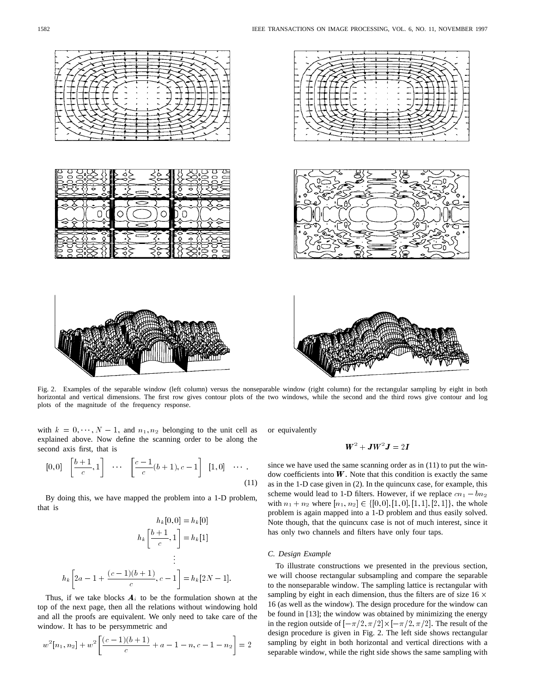

Fig. 2. Examples of the separable window (left column) versus the nonseparable window (right column) for the rectangular sampling by eight in both horizontal and vertical dimensions. The first row gives contour plots of the two windows, while the second and the third rows give contour and log plots of the magnitude of the frequency response.

with  $k = 0, \dots, N - 1$ , and  $n_1, n_2$  belonging to the unit cell as explained above. Now define the scanning order to be along the second axis first, that is

$$
[0,0] \left[\frac{b+1}{c},1\right] \cdots \left[\frac{c-1}{c}(b+1),c-1\right] [1,0] \cdots \tag{11}
$$

By doing this, we have mapped the problem into a 1-D problem, that is

$$
h_k[0,0] = h_k[0]
$$

$$
h_k\left[\frac{b+1}{c},1\right] = h_k[1]
$$

$$
\vdots
$$

$$
h_k\left[2a-1+\frac{(c-1)(b+1)}{c},c-1\right] = h_k[2N-1].
$$

Thus, if we take blocks  $A_i$  to be the formulation shown at the top of the next page, then all the relations without windowing hold and all the proofs are equivalent. We only need to take care of the window. It has to be persymmetric and

$$
w^{2}[n_{1}, n_{2}] + w^{2}\left[\frac{(c-1)(b+1)}{c} + a - 1 - n, c - 1 - n_{2}\right] = 2
$$

or equivalently

# $W^2 + JW^2J = 2I$

since we have used the same scanning order as in (11) to put the window coefficients into  $W$ . Note that this condition is exactly the same as in the 1-D case given in (2). In the quincunx case, for example, this scheme would lead to 1-D filters. However, if we replace  $cn_1 - bn_2$ with  $n_1 + n_2$  where  $[n_1, n_2] \in \{[0, 0], [1, 0], [1, 1], [2, 1]\}$ , the whole problem is again mapped into a 1-D problem and thus easily solved. Note though, that the quincunx case is not of much interest, since it has only two channels and filters have only four taps.

### *C. Design Example*

To illustrate constructions we presented in the previous section, we will choose rectangular subsampling and compare the separable to the nonseparable window. The sampling lattice is rectangular with sampling by eight in each dimension, thus the filters are of size 16  $\times$ 16 (as well as the window). The design procedure for the window can be found in [13]; the window was obtained by minimizing the energy in the region outside of  $[-\pi/2, \pi/2] \times [-\pi/2, \pi/2]$ . The result of the design procedure is given in Fig. 2. The left side shows rectangular sampling by eight in both horizontal and vertical directions with a separable window, while the right side shows the same sampling with